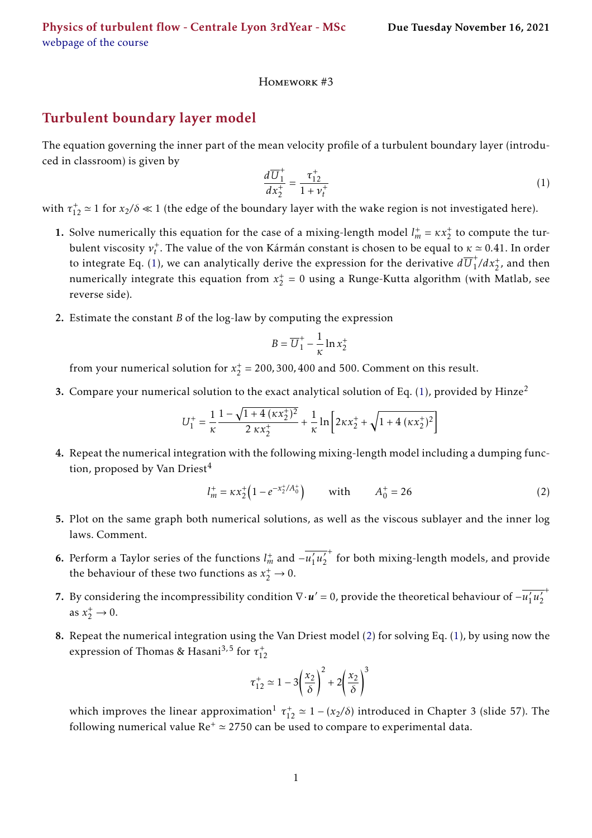## Homework #3

## Turbulent boundary layer model

The equation governing the inner part of the mean velocity profile of a turbulent boundary layer (introduced in classroom) is given by

<span id="page-0-0"></span>
$$
\frac{d\overline{U}_1^+}{dx_2^+} = \frac{\tau_{12}^+}{1 + \nu_t^+}
$$
\n(1)

with  $\tau_{12}^+ \simeq 1$  for  $x_2/\delta \ll 1$  (the edge of the boundary layer with the wake region is not investigated here).

- 1. Solve numerically this equation for the case of a mixing-length model  $l_m^+ = \kappa x_2^+$  to compute the turbulent viscosity  $v_t^+$ . The value of the von Kármán constant is chosen to be equal to  $\kappa \simeq 0.41$ . In order to integrate Eq. [\(1\)](#page-0-0), we can analytically derive the expression for the derivative  $d\overline{U}_1^+$  $j_1^+$ / $dx_2^+$ , and then numerically integrate this equation from  $x_2^+ = 0$  using a Runge-Kutta algorithm (with Matlab, see reverse side).
- 2. Estimate the constant *B* of the log-law by computing the expression

$$
B = \overline{U}_1^+ - \frac{1}{\kappa} \ln x_2^+
$$

from your numerical solution for  $x_2^+ = 200, 300, 400$  and 500. Comment on this result.

3. Compare your numerical solution to the exact analytical solution of Eq. [\(1\)](#page-0-0), provided by Hinze<sup>[2](#page-1-0)</sup>

$$
U_1^+ = \frac{1}{\kappa} \frac{1 - \sqrt{1 + 4\left(\kappa x_2^+\right)^2}}{2\,\kappa x_2^+} + \frac{1}{\kappa} \ln\left[2\kappa x_2^+ + \sqrt{1 + 4\left(\kappa x_2^+\right)^2}\right]
$$

4. Repeat the numerical integration with the following mixing-length model including a dumping func-tion, proposed by Van Driest<sup>[4](#page-1-1)</sup>

<span id="page-0-1"></span>
$$
l_m^+ = \kappa x_2^+ \left( 1 - e^{-x_2^+ / A_0^+} \right) \qquad \text{with} \qquad A_0^+ = 26 \tag{2}
$$

- 5. Plot on the same graph both numerical solutions, as well as the viscous sublayer and the inner log laws. Comment.
- **6.** Perform a Taylor series of the functions  $l_m^+$  and  $-\overline{u'_1}$  $\overline{\langle u_2 \rangle}$ 2 + for both mixing-length models, and provide the behaviour of these two functions as  $x_2^+ \rightarrow 0$ .
- 7. By considering the incompressibility condition  $\nabla \cdot \bm{u}' = 0$ , provide the theoretical behaviour of  $-\overline{u'_1}$  $\overline{\langle u_2 \rangle}$ 2 + as  $x_2^+ \to 0$ .
- 8. Repeat the numerical integration using the Van Driest model [\(2\)](#page-0-1) for solving Eq. [\(1\)](#page-0-0), by using now the expression of Thomas & Hasani<sup>[3,](#page-1-2)5</sup> for  $\tau_{12}^+$

$$
\tau_{12}^+ \simeq 1 - 3\left(\frac{x_2}{\delta}\right)^2 + 2\left(\frac{x_2}{\delta}\right)^3
$$

which improves the linear approximation<sup>[1](#page-1-4)</sup>  $\tau_{12}^+ \simeq 1 - (x_2/\delta)$  introduced in Chapter 3 (slide 57). The following numerical value  $Re^+ \approx 2750$  can be used to compare to experimental data.